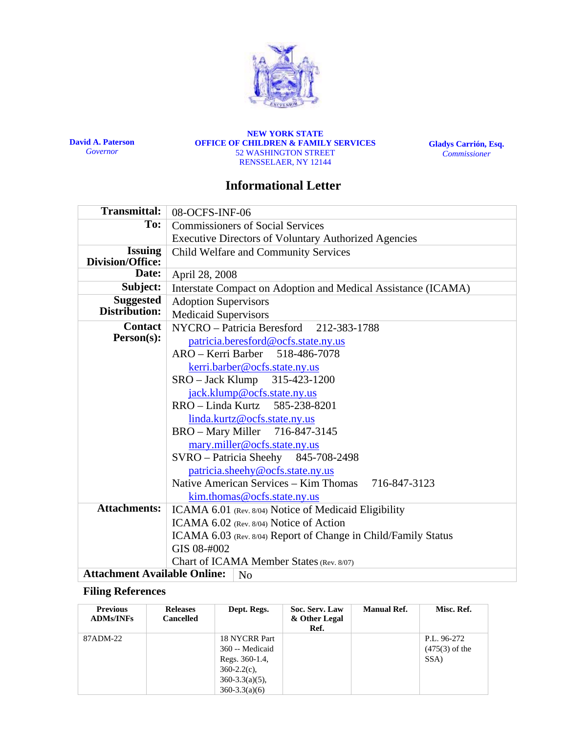

**David A. Paterson**  *Governor*

**NEW YORK STATE OFFICE OF CHILDREN & FAMILY SERVICES**  52 WASHINGTON STREET RENSSELAER, NY 12144

**Gladys Carrión, Esq.**  *Commissioner*

## **Informational Letter**

| <b>Transmittal:</b>                       | 08-OCFS-INF-06                                                 |  |  |  |  |  |
|-------------------------------------------|----------------------------------------------------------------|--|--|--|--|--|
| To:                                       | <b>Commissioners of Social Services</b>                        |  |  |  |  |  |
|                                           | <b>Executive Directors of Voluntary Authorized Agencies</b>    |  |  |  |  |  |
| <b>Issuing</b><br><b>Division/Office:</b> | Child Welfare and Community Services                           |  |  |  |  |  |
| Date:                                     | April 28, 2008                                                 |  |  |  |  |  |
| Subject:                                  | Interstate Compact on Adoption and Medical Assistance (ICAMA)  |  |  |  |  |  |
| <b>Suggested</b><br>Distribution:         | <b>Adoption Supervisors</b><br><b>Medicaid Supervisors</b>     |  |  |  |  |  |
| <b>Contact</b>                            | NYCRO - Patricia Beresford 212-383-1788                        |  |  |  |  |  |
| Person(s):                                | patricia.beresford@ocfs.state.ny.us                            |  |  |  |  |  |
|                                           | ARO - Kerri Barber 518-486-7078                                |  |  |  |  |  |
|                                           | kerri.barber@ocfs.state.ny.us                                  |  |  |  |  |  |
|                                           | SRO – Jack Klump 315-423-1200<br>jack.klump@ocfs.state.ny.us   |  |  |  |  |  |
|                                           | RRO - Linda Kurtz 585-238-8201                                 |  |  |  |  |  |
|                                           |                                                                |  |  |  |  |  |
|                                           | linda.kurtz@ocfs.state.ny.us<br>BRO - Mary Miller 716-847-3145 |  |  |  |  |  |
|                                           | mary.miller@ocfs.state.ny.us                                   |  |  |  |  |  |
|                                           | SVRO - Patricia Sheehy 845-708-2498                            |  |  |  |  |  |
|                                           | patricia.sheehy@ocfs.state.ny.us                               |  |  |  |  |  |
|                                           | Native American Services – Kim Thomas<br>716-847-3123          |  |  |  |  |  |
|                                           | kim.thomas@ocfs.state.ny.us                                    |  |  |  |  |  |
| <b>Attachments:</b>                       | ICAMA 6.01 (Rev. 8/04) Notice of Medicaid Eligibility          |  |  |  |  |  |
|                                           | ICAMA 6.02 (Rev. 8/04) Notice of Action                        |  |  |  |  |  |
|                                           | ICAMA 6.03 (Rev. 8/04) Report of Change in Child/Family Status |  |  |  |  |  |
|                                           | GIS 08-#002                                                    |  |  |  |  |  |
|                                           | Chart of ICAMA Member States (Rev. 8/07)                       |  |  |  |  |  |
| <b>Attachment Available Online:</b>       | N <sub>o</sub>                                                 |  |  |  |  |  |

#### **Filing References**

| <b>Previous</b><br><b>ADMs/INFs</b> | <b>Releases</b><br><b>Cancelled</b> | Dept. Regs.                                                                                                        | Soc. Serv. Law<br>& Other Legal<br>Ref. | <b>Manual Ref.</b> | Misc. Ref.                              |
|-------------------------------------|-------------------------------------|--------------------------------------------------------------------------------------------------------------------|-----------------------------------------|--------------------|-----------------------------------------|
| 87ADM-22                            |                                     | 18 NYCRR Part<br>360 -- Medicaid<br>Regs. 360-1.4,<br>$360 - 2.2(c)$ ,<br>$360 - 3.3(a)(5)$ ,<br>$360 - 3.3(a)(6)$ |                                         |                    | P.L. 96-272<br>$(475(3)$ of the<br>SSA) |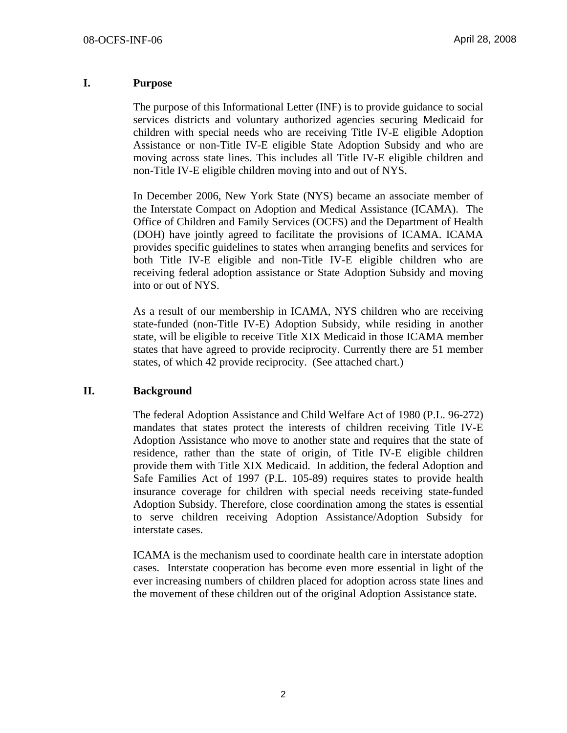#### **I. Purpose**

The purpose of this Informational Letter (INF) is to provide guidance to social services districts and voluntary authorized agencies securing Medicaid for children with special needs who are receiving Title IV-E eligible Adoption Assistance or non-Title IV-E eligible State Adoption Subsidy and who are moving across state lines. This includes all Title IV-E eligible children and non-Title IV-E eligible children moving into and out of NYS.

In December 2006, New York State (NYS) became an associate member of the Interstate Compact on Adoption and Medical Assistance (ICAMA). The Office of Children and Family Services (OCFS) and the Department of Health (DOH) have jointly agreed to facilitate the provisions of ICAMA. ICAMA provides specific guidelines to states when arranging benefits and services for both Title IV-E eligible and non-Title IV-E eligible children who are receiving federal adoption assistance or State Adoption Subsidy and moving into or out of NYS.

As a result of our membership in ICAMA, NYS children who are receiving state-funded (non-Title IV-E) Adoption Subsidy, while residing in another state, will be eligible to receive Title XIX Medicaid in those ICAMA member states that have agreed to provide reciprocity. Currently there are 51 member states, of which 42 provide reciprocity. (See attached chart.)

#### **II. Background**

The federal Adoption Assistance and Child Welfare Act of 1980 (P.L. 96-272) mandates that states protect the interests of children receiving Title IV-E Adoption Assistance who move to another state and requires that the state of residence, rather than the state of origin, of Title IV-E eligible children provide them with Title XIX Medicaid. In addition, the federal Adoption and Safe Families Act of 1997 (P.L. 105-89) requires states to provide health insurance coverage for children with special needs receiving state-funded Adoption Subsidy. Therefore, close coordination among the states is essential to serve children receiving Adoption Assistance/Adoption Subsidy for interstate cases.

ICAMA is the mechanism used to coordinate health care in interstate adoption cases. Interstate cooperation has become even more essential in light of the ever increasing numbers of children placed for adoption across state lines and the movement of these children out of the original Adoption Assistance state.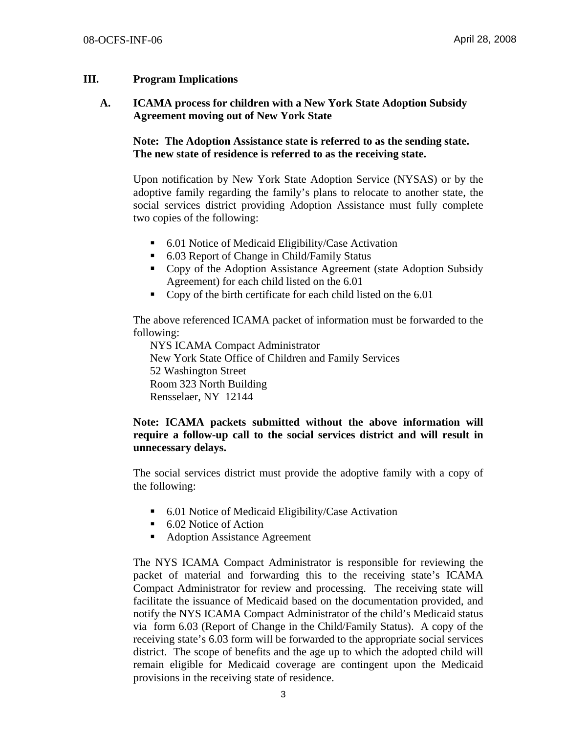#### **III. Program Implications**

#### **A. ICAMA process for children with a New York State Adoption Subsidy Agreement moving out of New York State**

#### **Note: The Adoption Assistance state is referred to as the sending state. The new state of residence is referred to as the receiving state.**

Upon notification by New York State Adoption Service (NYSAS) or by the adoptive family regarding the family's plans to relocate to another state, the social services district providing Adoption Assistance must fully complete two copies of the following:

- 6.01 Notice of Medicaid Eligibility/Case Activation
- 6.03 Report of Change in Child/Family Status
- Copy of the Adoption Assistance Agreement (state Adoption Subsidy Agreement) for each child listed on the 6.01
- Copy of the birth certificate for each child listed on the 6.01

The above referenced ICAMA packet of information must be forwarded to the following:

 NYS ICAMA Compact Administrator New York State Office of Children and Family Services 52 Washington Street Room 323 North Building Rensselaer, NY 12144

#### **Note: ICAMA packets submitted without the above information will require a follow-up call to the social services district and will result in unnecessary delays.**

The social services district must provide the adoptive family with a copy of the following:

- 6.01 Notice of Medicaid Eligibility/Case Activation
- 6.02 Notice of Action
- Adoption Assistance Agreement

The NYS ICAMA Compact Administrator is responsible for reviewing the packet of material and forwarding this to the receiving state's ICAMA Compact Administrator for review and processing. The receiving state will facilitate the issuance of Medicaid based on the documentation provided, and notify the NYS ICAMA Compact Administrator of the child's Medicaid status via form 6.03 (Report of Change in the Child/Family Status). A copy of the receiving state's 6.03 form will be forwarded to the appropriate social services district. The scope of benefits and the age up to which the adopted child will remain eligible for Medicaid coverage are contingent upon the Medicaid provisions in the receiving state of residence.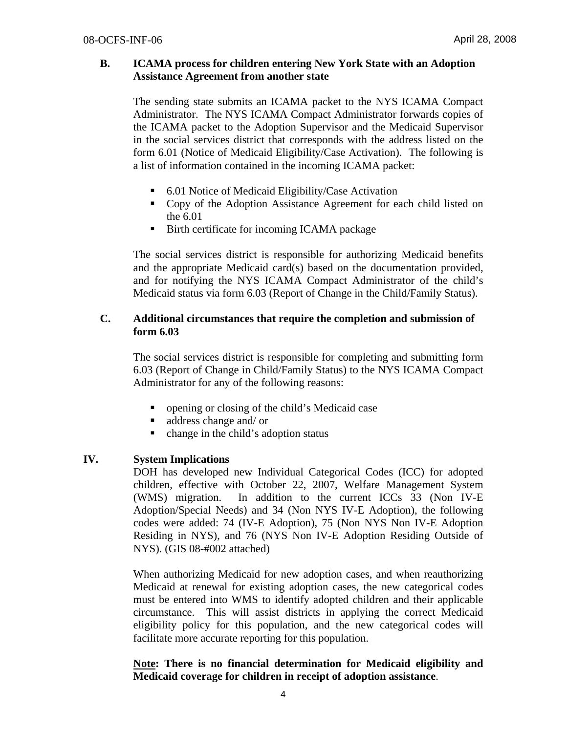#### **B. ICAMA process for children entering New York State with an Adoption Assistance Agreement from another state**

The sending state submits an ICAMA packet to the NYS ICAMA Compact Administrator. The NYS ICAMA Compact Administrator forwards copies of the ICAMA packet to the Adoption Supervisor and the Medicaid Supervisor in the social services district that corresponds with the address listed on the form 6.01 (Notice of Medicaid Eligibility/Case Activation). The following is a list of information contained in the incoming ICAMA packet:

- 6.01 Notice of Medicaid Eligibility/Case Activation
- Copy of the Adoption Assistance Agreement for each child listed on the 6.01
- Birth certificate for incoming ICAMA package

The social services district is responsible for authorizing Medicaid benefits and the appropriate Medicaid card(s) based on the documentation provided, and for notifying the NYS ICAMA Compact Administrator of the child's Medicaid status via form 6.03 (Report of Change in the Child/Family Status).

#### **C. Additional circumstances that require the completion and submission of form 6.03**

The social services district is responsible for completing and submitting form 6.03 (Report of Change in Child/Family Status) to the NYS ICAMA Compact Administrator for any of the following reasons:

- opening or closing of the child's Medicaid case
- address change and/ or
- change in the child's adoption status

#### **IV. System Implications**

DOH has developed new Individual Categorical Codes (ICC) for adopted children, effective with October 22, 2007, Welfare Management System (WMS) migration. In addition to the current ICCs 33 (Non IV-E Adoption/Special Needs) and 34 (Non NYS IV-E Adoption), the following codes were added: 74 (IV-E Adoption), 75 (Non NYS Non IV-E Adoption Residing in NYS), and 76 (NYS Non IV-E Adoption Residing Outside of NYS). (GIS 08-#002 attached)

When authorizing Medicaid for new adoption cases, and when reauthorizing Medicaid at renewal for existing adoption cases, the new categorical codes must be entered into WMS to identify adopted children and their applicable circumstance. This will assist districts in applying the correct Medicaid eligibility policy for this population, and the new categorical codes will facilitate more accurate reporting for this population.

#### **Note: There is no financial determination for Medicaid eligibility and Medicaid coverage for children in receipt of adoption assistance**.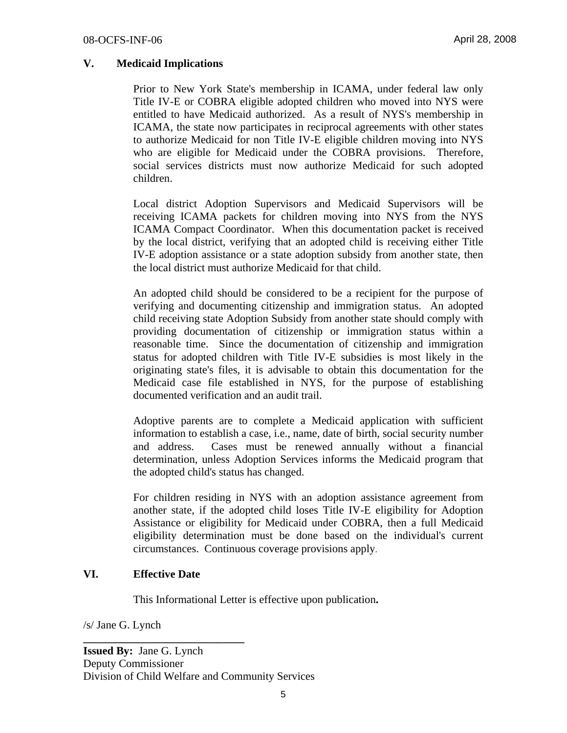#### **V. Medicaid Implications**

Prior to New York State's membership in ICAMA, under federal law only Title IV-E or COBRA eligible adopted children who moved into NYS were entitled to have Medicaid authorized. As a result of NYS's membership in ICAMA, the state now participates in reciprocal agreements with other states to authorize Medicaid for non Title IV-E eligible children moving into NYS who are eligible for Medicaid under the COBRA provisions. Therefore, social services districts must now authorize Medicaid for such adopted children.

Local district Adoption Supervisors and Medicaid Supervisors will be receiving ICAMA packets for children moving into NYS from the NYS ICAMA Compact Coordinator. When this documentation packet is received by the local district, verifying that an adopted child is receiving either Title IV-E adoption assistance or a state adoption subsidy from another state, then the local district must authorize Medicaid for that child.

An adopted child should be considered to be a recipient for the purpose of verifying and documenting citizenship and immigration status. An adopted child receiving state Adoption Subsidy from another state should comply with providing documentation of citizenship or immigration status within a reasonable time. Since the documentation of citizenship and immigration status for adopted children with Title IV-E subsidies is most likely in the originating state's files, it is advisable to obtain this documentation for the Medicaid case file established in NYS, for the purpose of establishing documented verification and an audit trail.

Adoptive parents are to complete a Medicaid application with sufficient information to establish a case, i.e., name, date of birth, social security number and address. Cases must be renewed annually without a financial determination, unless Adoption Services informs the Medicaid program that the adopted child's status has changed.

For children residing in NYS with an adoption assistance agreement from another state, if the adopted child loses Title IV-E eligibility for Adoption Assistance or eligibility for Medicaid under COBRA, then a full Medicaid eligibility determination must be done based on the individual's current circumstances. Continuous coverage provisions apply.

#### **VI. Effective Date**

**\_\_\_\_\_\_\_\_\_\_\_\_\_\_\_\_\_\_\_\_\_\_\_\_\_\_\_\_\_** 

This Informational Letter is effective upon publication**.** 

/s/ Jane G. Lynch

**Issued By:** Jane G. Lynch Deputy Commissioner Division of Child Welfare and Community Services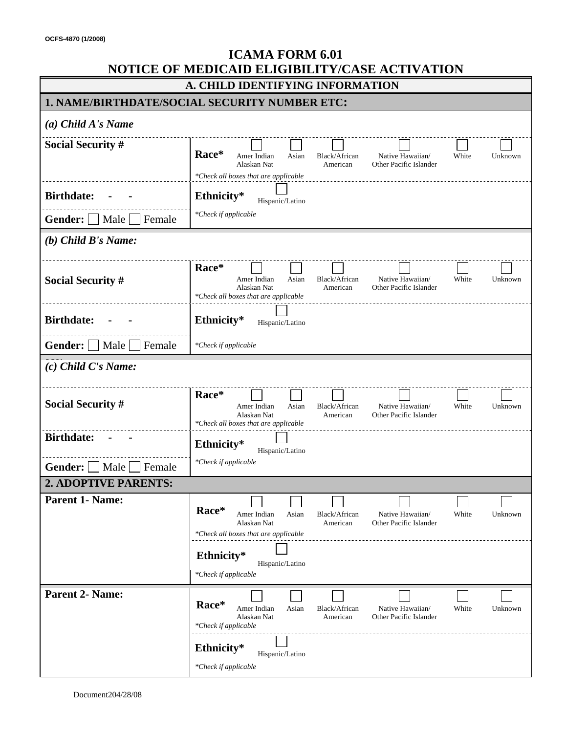| <b>ICAMA FORM 6.01</b><br>NOTICE OF MEDICAID ELIGIBILITY/CASE ACTIVATION |                                                                                                                                                                                                                                              |  |  |  |  |  |  |
|--------------------------------------------------------------------------|----------------------------------------------------------------------------------------------------------------------------------------------------------------------------------------------------------------------------------------------|--|--|--|--|--|--|
|                                                                          | A. CHILD IDENTIFYING INFORMATION                                                                                                                                                                                                             |  |  |  |  |  |  |
|                                                                          | <b>1. NAME/BIRTHDATE/SOCIAL SECURITY NUMBER ETC:</b>                                                                                                                                                                                         |  |  |  |  |  |  |
| $(a)$ Child A's Name                                                     |                                                                                                                                                                                                                                              |  |  |  |  |  |  |
| <b>Social Security #</b>                                                 | Race*<br>Amer Indian<br>Asian<br>Black/African<br>Native Hawaiian/<br>White<br>Unknown<br>Alaskan Nat<br>American<br>Other Pacific Islander<br>*Check all boxes that are applicable                                                          |  |  |  |  |  |  |
| <b>Birthdate:</b>                                                        | Ethnicity*<br>Hispanic/Latino                                                                                                                                                                                                                |  |  |  |  |  |  |
| Gender:     Male     Female                                              | *Check if applicable                                                                                                                                                                                                                         |  |  |  |  |  |  |
| $(b)$ Child B's Name:                                                    |                                                                                                                                                                                                                                              |  |  |  |  |  |  |
| <b>Social Security #</b>                                                 | Race*<br>Asian<br>Native Hawaiian/<br>White<br>Amer Indian<br>Black/African<br>Unknown<br>Other Pacific Islander<br>Alaskan Nat<br>American<br>*Check all boxes that are applicable                                                          |  |  |  |  |  |  |
| <b>Birthdate:</b>                                                        | Ethnicity*<br>Hispanic/Latino                                                                                                                                                                                                                |  |  |  |  |  |  |
| <b>Gender:</b>   Male   Female                                           | *Check if applicable                                                                                                                                                                                                                         |  |  |  |  |  |  |
| $(c)$ Child C's Name:                                                    |                                                                                                                                                                                                                                              |  |  |  |  |  |  |
| <b>Social Security #</b>                                                 | Race*<br>Amer Indian<br>Asian<br>Black/African<br>Native Hawaiian/<br>White<br>Unknown<br>Alaskan Nat<br>Other Pacific Islander<br>American<br>*Check all boxes that are applicable                                                          |  |  |  |  |  |  |
| <b>Birthdate:</b>                                                        | Ethnicity*<br>Hispanic/Latino                                                                                                                                                                                                                |  |  |  |  |  |  |
| Gender:<br>Male<br>Female                                                | *Check if applicable                                                                                                                                                                                                                         |  |  |  |  |  |  |
| 2. ADOPTIVE PARENTS:                                                     |                                                                                                                                                                                                                                              |  |  |  |  |  |  |
| <b>Parent 1- Name:</b>                                                   | Race*<br>Amer Indian<br>Asian<br>Black/African<br>Native Hawaiian/<br>White<br>Unknown<br>Alaskan Nat<br>Other Pacific Islander<br>American<br>*Check all boxes that are applicable<br>Ethnicity*<br>Hispanic/Latino<br>*Check if applicable |  |  |  |  |  |  |
|                                                                          |                                                                                                                                                                                                                                              |  |  |  |  |  |  |
| <b>Parent 2- Name:</b>                                                   | Race*<br>Amer Indian<br>Asian<br>Black/African<br>Native Hawaiian/<br>White<br>Unknown<br>Alaskan Nat<br>Other Pacific Islander<br>American<br>*Check if applicable                                                                          |  |  |  |  |  |  |
|                                                                          | Ethnicity*<br>Hispanic/Latino<br>*Check if applicable                                                                                                                                                                                        |  |  |  |  |  |  |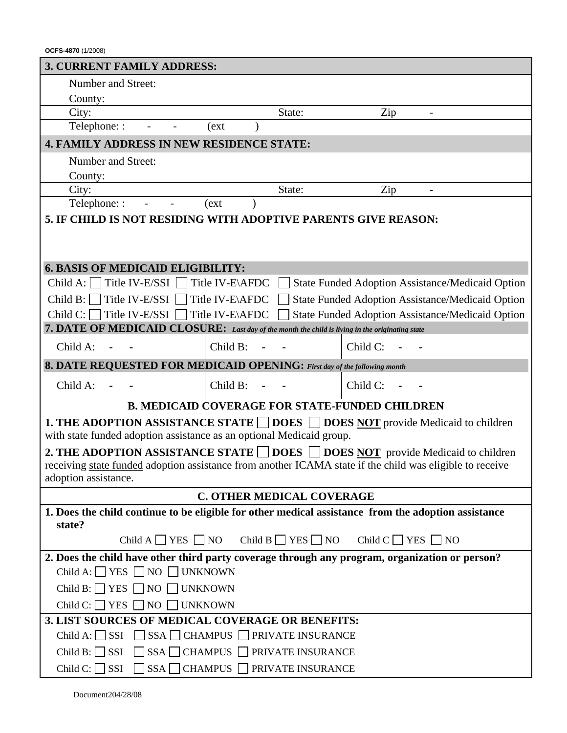**OCFS-4870** (1/2008) **3. CURRENT FAMILY ADDRESS:**  Number and Street: County: City: State: Zip and State: Zip Telephone:  $(\text{ext})$ **4. FAMILY ADDRESS IN NEW RESIDENCE STATE:**  Number and Street: County: City: State: Zip and State: Zip Telephone: : - - (ext ) **5. IF CHILD IS NOT RESIDING WITH ADOPTIVE PARENTS GIVE REASON: 6. BASIS OF MEDICAID ELIGIBILITY:**  Child A:  $\Box$  Title IV-E/SSI  $\Box$  Title IV-E\AFDC  $\Box$  State Funded Adoption Assistance/Medicaid Option Child B: Title IV-E/SSI Title IV-E\AFDC State Funded Adoption Assistance/Medicaid Option Child C: Title IV-E/SSI Title IV-E\AFDC State Funded Adoption Assistance/Medicaid Option **7. DATE OF MEDICAID CLOSURE:** *Last day of the month the child is living in the originating state* Child A: **- -** Child B: **- -** Child C: **- - 8. DATE REQUESTED FOR MEDICAID OPENING:** *First day of the following month*  Child A: **- -** Child B: **- -** Child C: **- - B. MEDICAID COVERAGE FOR STATE-FUNDED CHILDREN 1. THE ADOPTION ASSISTANCE STATE DOES DOES NOT** provide Medicaid to children with state funded adoption assistance as an optional Medicaid group. **2. THE ADOPTION ASSISTANCE STATE**  $\Box$  **DOES**  $\Box$  **DOES NOT provide Medicaid to children** receiving state funded adoption assistance from another ICAMA state if the child was eligible to receive adoption assistance. **C. OTHER MEDICAL COVERAGE 1. Does the child continue to be eligible for other medical assistance from the adoption assistance state?**  Child A  $\Box$  YES  $\Box$  NO Child B  $\Box$  YES  $\Box$  NO Child C  $\Box$  YES  $\Box$  NO **2. Does the child have other third party coverage through any program, organization or person?**  Child A:  $\Box$  YES  $\Box$  NO  $\Box$  UNKNOWN Child B:  $\Box$  YES  $\Box$  NO  $\Box$  UNKNOWN Child C:  $\Box$  YES  $\Box$  NO  $\Box$  UNKNOWN **3. LIST SOURCES OF MEDICAL COVERAGE OR BENEFITS:**   $Child A: \square SSI \square SSA \square CHAMPUS \square PRIVATE INSURANCE$ 

Child B:  $\Box$  SSI  $\Box$  SSA  $\Box$  CHAMPUS  $\Box$  PRIVATE INSURANCE Child C:  $\Box$  SSI  $\Box$  SSA  $\Box$  CHAMPUS  $\Box$  PRIVATE INSURANCE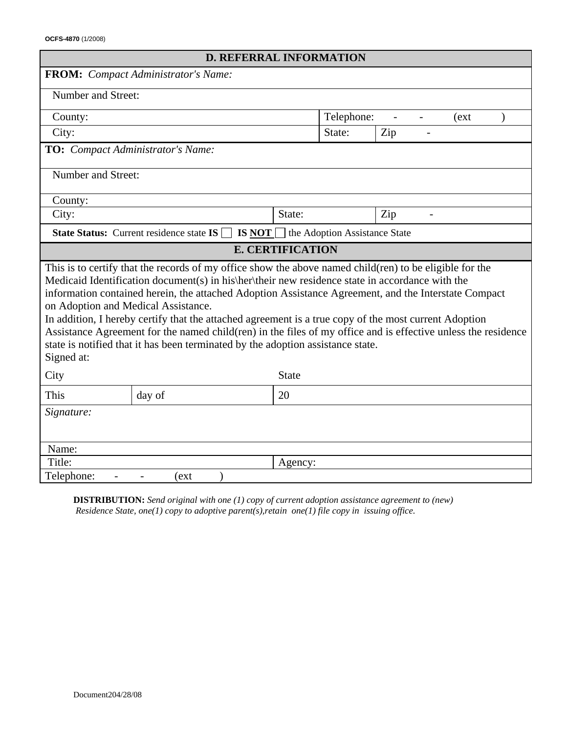**OCFS-4870** (1/2008)

|                                                                                                                                                                                                                                                                                                                                                                                                                                                                                                                                                                                                                                                                                      | <b>D. REFERRAL INFORMATION</b>                                             |                               |            |     |       |  |
|--------------------------------------------------------------------------------------------------------------------------------------------------------------------------------------------------------------------------------------------------------------------------------------------------------------------------------------------------------------------------------------------------------------------------------------------------------------------------------------------------------------------------------------------------------------------------------------------------------------------------------------------------------------------------------------|----------------------------------------------------------------------------|-------------------------------|------------|-----|-------|--|
|                                                                                                                                                                                                                                                                                                                                                                                                                                                                                                                                                                                                                                                                                      | <b>FROM:</b> Compact Administrator's Name:                                 |                               |            |     |       |  |
| Number and Street:                                                                                                                                                                                                                                                                                                                                                                                                                                                                                                                                                                                                                                                                   |                                                                            |                               |            |     |       |  |
| County:                                                                                                                                                                                                                                                                                                                                                                                                                                                                                                                                                                                                                                                                              |                                                                            |                               | Telephone: |     | (ext) |  |
| City:                                                                                                                                                                                                                                                                                                                                                                                                                                                                                                                                                                                                                                                                                |                                                                            | State:                        |            | Zip |       |  |
| TO: Compact Administrator's Name:                                                                                                                                                                                                                                                                                                                                                                                                                                                                                                                                                                                                                                                    |                                                                            |                               |            |     |       |  |
| Number and Street:                                                                                                                                                                                                                                                                                                                                                                                                                                                                                                                                                                                                                                                                   |                                                                            |                               |            |     |       |  |
| County:                                                                                                                                                                                                                                                                                                                                                                                                                                                                                                                                                                                                                                                                              |                                                                            |                               |            |     |       |  |
| City:                                                                                                                                                                                                                                                                                                                                                                                                                                                                                                                                                                                                                                                                                |                                                                            | State:                        |            | Zip |       |  |
|                                                                                                                                                                                                                                                                                                                                                                                                                                                                                                                                                                                                                                                                                      | <b>State Status:</b> Current residence state $IS \cap IS \text{ NOT} \cap$ | the Adoption Assistance State |            |     |       |  |
|                                                                                                                                                                                                                                                                                                                                                                                                                                                                                                                                                                                                                                                                                      |                                                                            | <b>E. CERTIFICATION</b>       |            |     |       |  |
| This is to certify that the records of my office show the above named child(ren) to be eligible for the<br>Medicaid Identification document(s) in his\her\their new residence state in accordance with the<br>information contained herein, the attached Adoption Assistance Agreement, and the Interstate Compact<br>on Adoption and Medical Assistance.<br>In addition, I hereby certify that the attached agreement is a true copy of the most current Adoption<br>Assistance Agreement for the named child(ren) in the files of my office and is effective unless the residence<br>state is notified that it has been terminated by the adoption assistance state.<br>Signed at: |                                                                            |                               |            |     |       |  |
| City                                                                                                                                                                                                                                                                                                                                                                                                                                                                                                                                                                                                                                                                                 |                                                                            | <b>State</b>                  |            |     |       |  |
| This                                                                                                                                                                                                                                                                                                                                                                                                                                                                                                                                                                                                                                                                                 | day of                                                                     | 20                            |            |     |       |  |
| Signature:                                                                                                                                                                                                                                                                                                                                                                                                                                                                                                                                                                                                                                                                           |                                                                            |                               |            |     |       |  |
| Name:                                                                                                                                                                                                                                                                                                                                                                                                                                                                                                                                                                                                                                                                                |                                                                            |                               |            |     |       |  |
| Title:                                                                                                                                                                                                                                                                                                                                                                                                                                                                                                                                                                                                                                                                               | Agency:                                                                    |                               |            |     |       |  |
| Telephone:<br>(ext                                                                                                                                                                                                                                                                                                                                                                                                                                                                                                                                                                                                                                                                   |                                                                            |                               |            |     |       |  |

**DISTRIBUTION:** *Send original with one (1) copy of current adoption assistance agreement to (new) Residence State, one(1) copy to adoptive parent(s),retain one(1) file copy in issuing office.*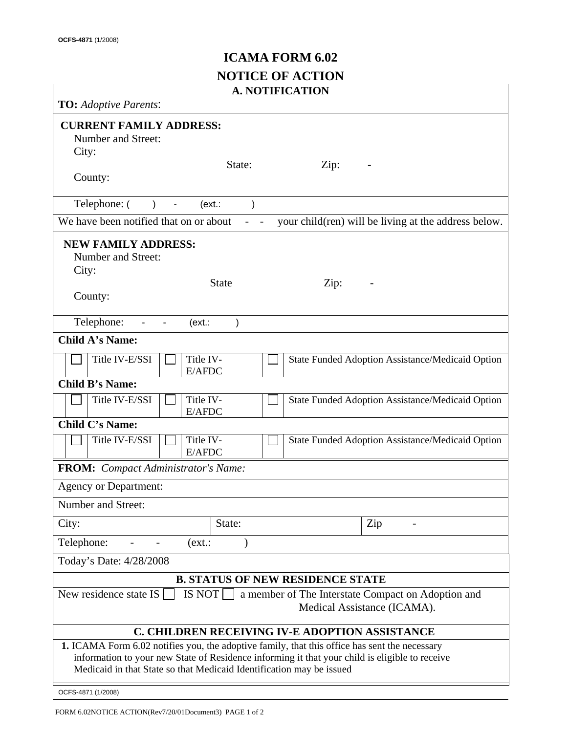# **ICAMA FORM 6.02 NOTICE OF ACTION**

| <b>A. NOTIFICATION</b>                                                                                                                                                                                                                                                  |                                                      |  |  |  |
|-------------------------------------------------------------------------------------------------------------------------------------------------------------------------------------------------------------------------------------------------------------------------|------------------------------------------------------|--|--|--|
| <b>TO:</b> Adoptive Parents:                                                                                                                                                                                                                                            |                                                      |  |  |  |
| <b>CURRENT FAMILY ADDRESS:</b><br>Number and Street:<br>City:                                                                                                                                                                                                           |                                                      |  |  |  |
| State:<br>Zip:<br>County:                                                                                                                                                                                                                                               |                                                      |  |  |  |
| Telephone: (<br>(ext.<br>$\lambda$<br>$\blacksquare$<br>$\lambda$                                                                                                                                                                                                       |                                                      |  |  |  |
| We have been notified that on or about                                                                                                                                                                                                                                  | your child(ren) will be living at the address below. |  |  |  |
| <b>NEW FAMILY ADDRESS:</b><br>Number and Street:<br>City:                                                                                                                                                                                                               |                                                      |  |  |  |
| <b>State</b><br>Zip:<br>County:                                                                                                                                                                                                                                         |                                                      |  |  |  |
| Telephone:<br>(ext.<br>$\mathcal{E}$                                                                                                                                                                                                                                    |                                                      |  |  |  |
| <b>Child A's Name:</b>                                                                                                                                                                                                                                                  |                                                      |  |  |  |
| Title IV-<br>Title IV-E/SSI<br>E/AFDC                                                                                                                                                                                                                                   | State Funded Adoption Assistance/Medicaid Option     |  |  |  |
| <b>Child B's Name:</b>                                                                                                                                                                                                                                                  |                                                      |  |  |  |
| Title IV-<br>Title IV-E/SSI<br>E/AFDC                                                                                                                                                                                                                                   | State Funded Adoption Assistance/Medicaid Option     |  |  |  |
| <b>Child C's Name:</b>                                                                                                                                                                                                                                                  |                                                      |  |  |  |
| Title IV-E/SSI<br>Title IV-<br>E/AFDC                                                                                                                                                                                                                                   | State Funded Adoption Assistance/Medicaid Option     |  |  |  |
| <b>FROM:</b> Compact Administrator's Name:                                                                                                                                                                                                                              |                                                      |  |  |  |
| <b>Agency or Department:</b>                                                                                                                                                                                                                                            |                                                      |  |  |  |
| Number and Street:                                                                                                                                                                                                                                                      |                                                      |  |  |  |
| City:<br>State:                                                                                                                                                                                                                                                         | Zip                                                  |  |  |  |
| Telephone:<br>(ext.:                                                                                                                                                                                                                                                    |                                                      |  |  |  |
| Today's Date: 4/28/2008                                                                                                                                                                                                                                                 |                                                      |  |  |  |
| <b>B. STATUS OF NEW RESIDENCE STATE</b>                                                                                                                                                                                                                                 |                                                      |  |  |  |
| <b>IS NOT</b><br>New residence state IS<br>a member of The Interstate Compact on Adoption and<br>Medical Assistance (ICAMA).                                                                                                                                            |                                                      |  |  |  |
| C. CHILDREN RECEIVING IV-E ADOPTION ASSISTANCE                                                                                                                                                                                                                          |                                                      |  |  |  |
| 1. ICAMA Form 6.02 notifies you, the adoptive family, that this office has sent the necessary<br>information to your new State of Residence informing it that your child is eligible to receive<br>Medicaid in that State so that Medicaid Identification may be issued |                                                      |  |  |  |
| OCFS-4871 (1/2008)                                                                                                                                                                                                                                                      |                                                      |  |  |  |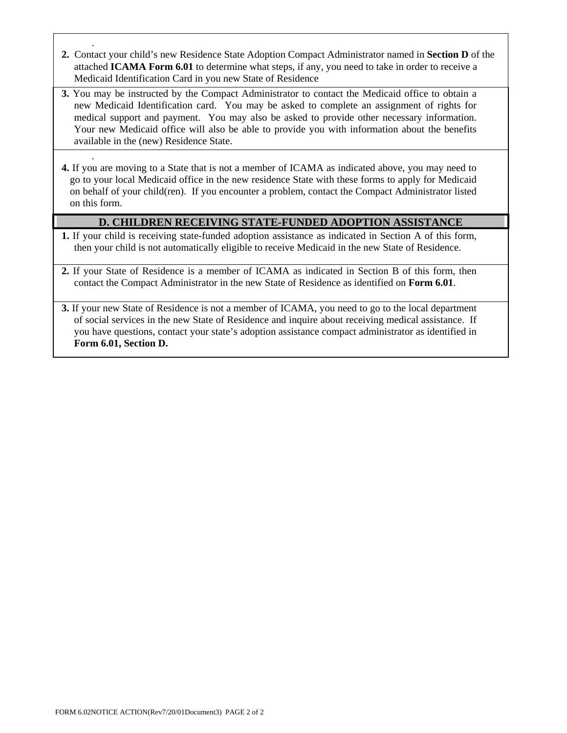- . **2.** Contact your child's new Residence State Adoption Compact Administrator named in **Section D** of the attached **ICAMA Form 6.01** to determine what steps, if any, you need to take in order to receive a Medicaid Identification Card in you new State of Residence
- **3.** You may be instructed by the Compact Administrator to contact the Medicaid office to obtain a new Medicaid Identification card. You may be asked to complete an assignment of rights for medical support and payment. You may also be asked to provide other necessary information. Your new Medicaid office will also be able to provide you with information about the benefits available in the (new) Residence State.
- **4.** If you are moving to a State that is not a member of ICAMA as indicated above, you may need to go to your local Medicaid office in the new residence State with these forms to apply for Medicaid on behalf of your child(ren). If you encounter a problem, contact the Compact Administrator listed on this form.

#### **D. CHILDREN RECEIVING STATE-FUNDED ADOPTION ASSISTANCE**

- **1.** If your child is receiving state-funded adoption assistance as indicated in Section A of this form, then your child is not automatically eligible to receive Medicaid in the new State of Residence.
- **2.** If your State of Residence is a member of ICAMA as indicated in Section B of this form, then contact the Compact Administrator in the new State of Residence as identified on **Form 6.01**.
- **3.** If your new State of Residence is not a member of ICAMA, you need to go to the local department of social services in the new State of Residence and inquire about receiving medical assistance. If you have questions, contact your state's adoption assistance compact administrator as identified in **Form 6.01, Section D.**

.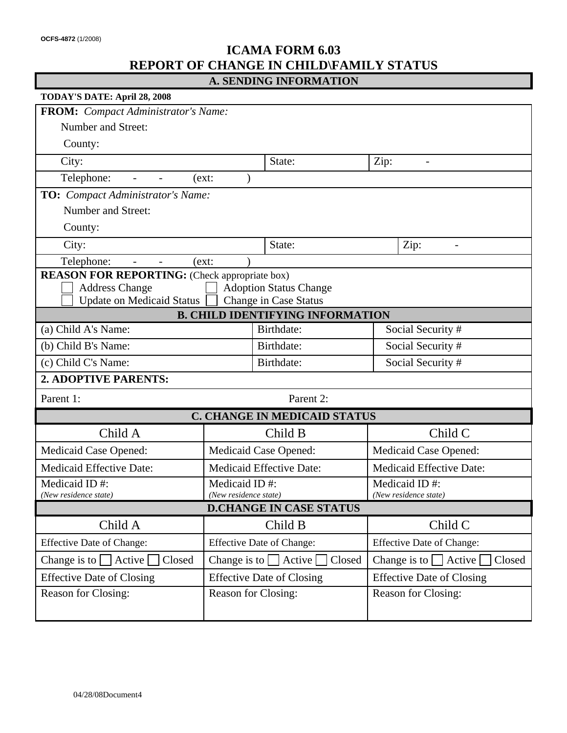### **ICAMA FORM 6.03 REPORT OF CHANGE IN CHILD\FAMILY STATUS**

|  |  | A. SENDING INFORMATION |
|--|--|------------------------|
|--|--|------------------------|

| TODAY'S DATE: April 28, 2008                                                                                                                                                       |                                                                                                           |                                         |                                      |  |  |  |
|------------------------------------------------------------------------------------------------------------------------------------------------------------------------------------|-----------------------------------------------------------------------------------------------------------|-----------------------------------------|--------------------------------------|--|--|--|
| <b>FROM:</b> Compact Administrator's Name:                                                                                                                                         |                                                                                                           |                                         |                                      |  |  |  |
| Number and Street:                                                                                                                                                                 |                                                                                                           |                                         |                                      |  |  |  |
| County:                                                                                                                                                                            |                                                                                                           |                                         |                                      |  |  |  |
| City:                                                                                                                                                                              |                                                                                                           | State:                                  | Zip:<br>$\overline{\phantom{a}}$     |  |  |  |
| Telephone:<br>$\overline{\phantom{a}}$<br>$\overline{\phantom{a}}$                                                                                                                 | (ext:                                                                                                     |                                         |                                      |  |  |  |
| <b>TO:</b> Compact Administrator's Name:                                                                                                                                           |                                                                                                           |                                         |                                      |  |  |  |
| <b>Number and Street:</b>                                                                                                                                                          |                                                                                                           |                                         |                                      |  |  |  |
| County:                                                                                                                                                                            |                                                                                                           |                                         |                                      |  |  |  |
| City:                                                                                                                                                                              |                                                                                                           | State:                                  | Zip:<br>$\overline{\phantom{0}}$     |  |  |  |
| Telephone:<br>$\overline{\phantom{a}}$                                                                                                                                             | (ext:                                                                                                     |                                         |                                      |  |  |  |
| <b>REASON FOR REPORTING:</b> (Check appropriate box)<br><b>Address Change</b><br><b>Adoption Status Change</b><br><b>Update on Medicaid Status</b><br><b>Change in Case Status</b> |                                                                                                           |                                         |                                      |  |  |  |
|                                                                                                                                                                                    |                                                                                                           | <b>B. CHILD IDENTIFYING INFORMATION</b> |                                      |  |  |  |
| (a) Child A's Name:                                                                                                                                                                |                                                                                                           | Birthdate:<br>Birthdate:                | Social Security #                    |  |  |  |
| (b) Child B's Name:                                                                                                                                                                |                                                                                                           |                                         | Social Security #                    |  |  |  |
| (c) Child C's Name:                                                                                                                                                                |                                                                                                           | Birthdate:                              | Social Security #                    |  |  |  |
| 2. ADOPTIVE PARENTS:                                                                                                                                                               |                                                                                                           |                                         |                                      |  |  |  |
| Parent 1:                                                                                                                                                                          |                                                                                                           | Parent 2:                               |                                      |  |  |  |
|                                                                                                                                                                                    |                                                                                                           | <b>C. CHANGE IN MEDICAID STATUS</b>     |                                      |  |  |  |
| Child A                                                                                                                                                                            |                                                                                                           | Child B                                 | Child C                              |  |  |  |
| <b>Medicaid Case Opened:</b>                                                                                                                                                       |                                                                                                           | Medicaid Case Opened:                   | Medicaid Case Opened:                |  |  |  |
| <b>Medicaid Effective Date:</b>                                                                                                                                                    |                                                                                                           | <b>Medicaid Effective Date:</b>         | <b>Medicaid Effective Date:</b>      |  |  |  |
| Medicaid ID#:                                                                                                                                                                      | Medicaid ID#:                                                                                             |                                         | Medicaid ID#:                        |  |  |  |
|                                                                                                                                                                                    | (New residence state)<br>(New residence state)<br>(New residence state)<br><b>D.CHANGE IN CASE STATUS</b> |                                         |                                      |  |  |  |
| Child A                                                                                                                                                                            |                                                                                                           | Child B                                 | Child C                              |  |  |  |
| <b>Effective Date of Change:</b>                                                                                                                                                   | <b>Effective Date of Change:</b>                                                                          |                                         | <b>Effective Date of Change:</b>     |  |  |  |
| Change is to $\Box$ Active<br>Change is to $\Box$ Active $\Box$<br>Closed<br>Closed                                                                                                |                                                                                                           |                                         | Change is to $\Box$ Active<br>Closed |  |  |  |
| <b>Effective Date of Closing</b><br><b>Effective Date of Closing</b>                                                                                                               |                                                                                                           |                                         | <b>Effective Date of Closing</b>     |  |  |  |
| Reason for Closing:                                                                                                                                                                | Reason for Closing:                                                                                       |                                         | Reason for Closing:                  |  |  |  |
|                                                                                                                                                                                    |                                                                                                           |                                         |                                      |  |  |  |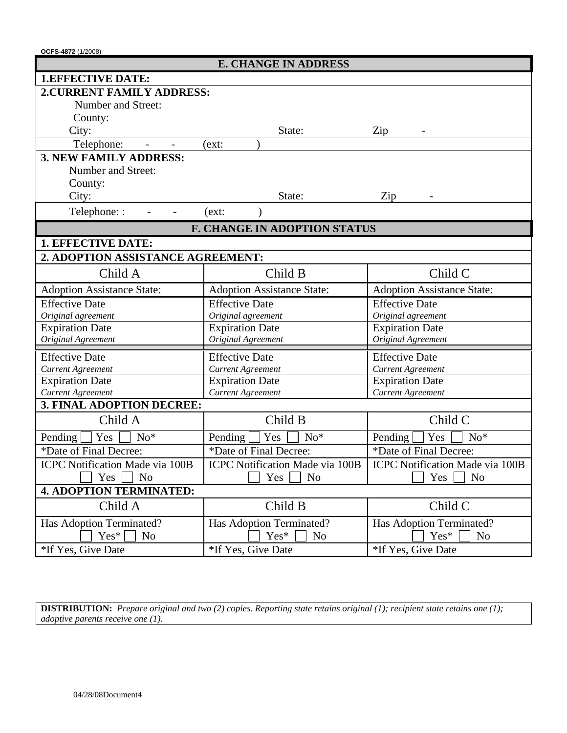**OCFS-4872** (1/2008)

| <b>E. CHANGE IN ADDRESS</b>                           |                                     |                                        |  |  |  |
|-------------------------------------------------------|-------------------------------------|----------------------------------------|--|--|--|
| <b>1.EFFECTIVE DATE:</b>                              |                                     |                                        |  |  |  |
| <b>2. CURRENT FAMILY ADDRESS:</b>                     |                                     |                                        |  |  |  |
| Number and Street:                                    |                                     |                                        |  |  |  |
| County:                                               |                                     |                                        |  |  |  |
| City:                                                 | State:                              | Zip                                    |  |  |  |
| Telephone:                                            | (ext:                               |                                        |  |  |  |
| <b>3. NEW FAMILY ADDRESS:</b>                         |                                     |                                        |  |  |  |
| Number and Street:                                    |                                     |                                        |  |  |  |
| County:                                               |                                     |                                        |  |  |  |
| City:                                                 | State:                              | Zip                                    |  |  |  |
| Telephone::                                           | (ext:                               |                                        |  |  |  |
|                                                       | <b>F. CHANGE IN ADOPTION STATUS</b> |                                        |  |  |  |
| 1. EFFECTIVE DATE:                                    |                                     |                                        |  |  |  |
| 2. ADOPTION ASSISTANCE AGREEMENT:                     |                                     |                                        |  |  |  |
| Child A                                               | Child B                             | Child C                                |  |  |  |
| <b>Adoption Assistance State:</b>                     | <b>Adoption Assistance State:</b>   | <b>Adoption Assistance State:</b>      |  |  |  |
| <b>Effective Date</b>                                 | <b>Effective Date</b>               | <b>Effective Date</b>                  |  |  |  |
| Original agreement                                    | Original agreement                  | Original agreement                     |  |  |  |
| <b>Expiration Date</b>                                | <b>Expiration Date</b>              | <b>Expiration Date</b>                 |  |  |  |
| Original Agreement                                    | Original Agreement                  | Original Agreement                     |  |  |  |
| <b>Effective Date</b>                                 | <b>Effective Date</b>               | <b>Effective Date</b>                  |  |  |  |
| <b>Current Agreement</b>                              | <b>Current Agreement</b>            | <b>Current Agreement</b>               |  |  |  |
| <b>Expiration Date</b>                                | <b>Expiration Date</b>              | <b>Expiration Date</b>                 |  |  |  |
| <b>Current Agreement</b><br>3. FINAL ADOPTION DECREE: | <b>Current Agreement</b>            | <b>Current Agreement</b>               |  |  |  |
| Child A                                               | Child B                             | Child C                                |  |  |  |
| Yes<br>Pending<br>$No*$                               | Yes<br>Pending<br>$No*$             | Yes<br>Pending<br>$No*$                |  |  |  |
| *Date of Final Decree:                                | *Date of Final Decree:              | *Date of Final Decree:                 |  |  |  |
| <b>ICPC</b> Notification Made via 100B                | ICPC Notification Made via 100B     | <b>ICPC Notification Made via 100B</b> |  |  |  |
| Yes<br>N <sub>o</sub>                                 | Yes<br>N <sub>o</sub>               | Yes<br>N <sub>o</sub>                  |  |  |  |
| <b>4. ADOPTION TERMINATED:</b>                        |                                     |                                        |  |  |  |
| Child A                                               | Child B                             | Child C                                |  |  |  |
| Has Adoption Terminated?                              | Has Adoption Terminated?            | Has Adoption Terminated?               |  |  |  |
| $Yes*$<br>N <sub>o</sub>                              | Yes*<br>N <sub>o</sub>              | Yes*<br>N <sub>o</sub>                 |  |  |  |
| *If Yes, Give Date                                    | *If Yes, Give Date                  | *If Yes, Give Date                     |  |  |  |

**DISTRIBUTION:** *Prepare original and two (2) copies. Reporting state retains original (1); recipient state retains one (1); adoptive parents receive one (1).*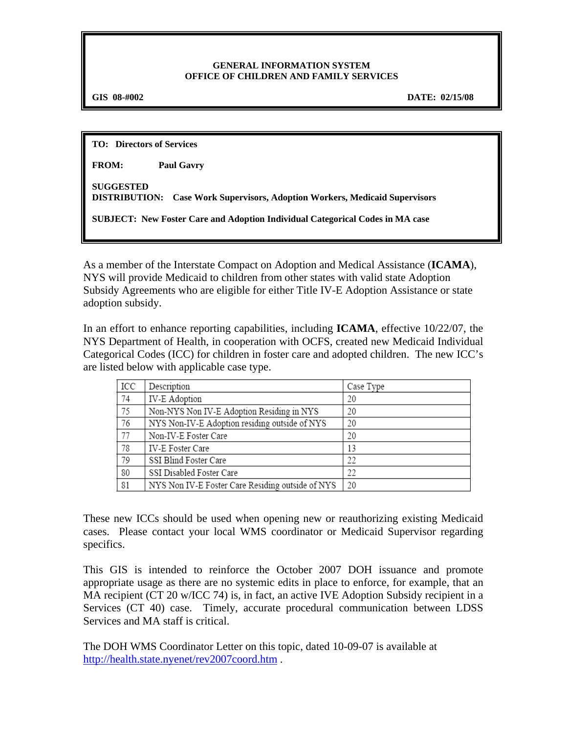#### **GENERAL INFORMATION SYSTEM OFFICE OF CHILDREN AND FAMILY SERVICES**

f

**GIS 08-#002 DATE: 02/15/08** 

**TO: Directors of Services** 

**FROM: Paul Gavry** 

**SUGGESTED DISTRIBUTION: Case Work Supervisors, Adoption Workers, Medicaid Supervisors** 

**SUBJECT: New Foster Care and Adoption Individual Categorical Codes in MA case** 

As a member of the Interstate Compact on Adoption and Medical Assistance (**ICAMA**), NYS will provide Medicaid to children from other states with valid state Adoption Subsidy Agreements who are eligible for either Title IV-E Adoption Assistance or state adoption subsidy.

In an effort to enhance reporting capabilities, including **ICAMA**, effective 10/22/07, the NYS Department of Health, in cooperation with OCFS, created new Medicaid Individual Categorical Codes (ICC) for children in foster care and adopted children. The new ICC's are listed below with applicable case type.

| ICC | Description                                      | Case Type |
|-----|--------------------------------------------------|-----------|
| 74  | <b>IV-E Adoption</b>                             | 20        |
| 75  | Non-NYS Non IV-E Adoption Residing in NYS        | 20        |
| 76  | NYS Non-IV-E Adoption residing outside of NYS    | 20        |
| 77  | Non-IV-E Foster Care                             | 20        |
| 78  | IV-E Foster Care                                 | 13        |
| 79  | SSI Blind Foster Care                            | 22        |
| 80  | SSI Disabled Foster Care                         | 22        |
| 81  | NYS Non IV-E Foster Care Residing outside of NYS | 20        |

These new ICCs should be used when opening new or reauthorizing existing Medicaid cases. Please contact your local WMS coordinator or Medicaid Supervisor regarding specifics.

This GIS is intended to reinforce the October 2007 DOH issuance and promote appropriate usage as there are no systemic edits in place to enforce, for example, that an MA recipient (CT 20 w/ICC 74) is, in fact, an active IVE Adoption Subsidy recipient in a Services (CT 40) case. Timely, accurate procedural communication between LDSS Services and MA staff is critical.

The DOH WMS Coordinator Letter on this topic, dated 10-09-07 is available at http://health.state.nyenet/rev2007coord.htm .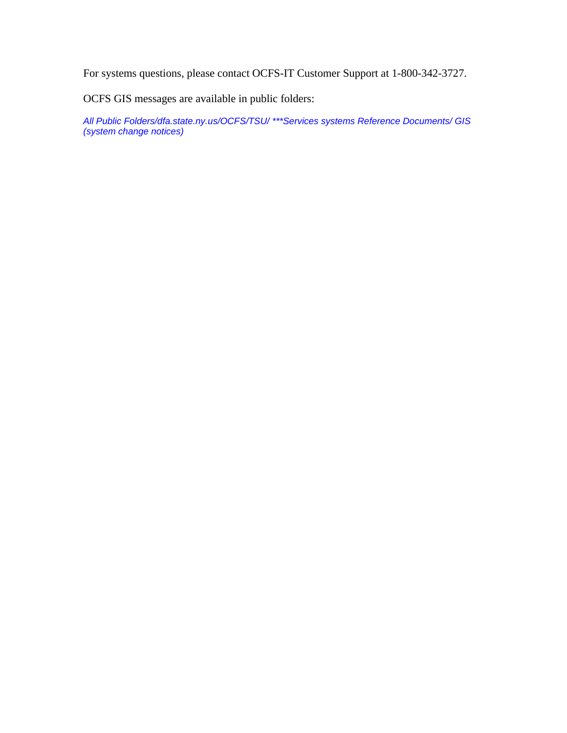For systems questions, please contact OCFS-IT Customer Support at 1-800-342-3727.

OCFS GIS messages are available in public folders:

*All Public Folders/dfa.state.ny.us/OCFS/TSU/ \*\*\*Services systems Reference Documents/ GIS (system change notices)*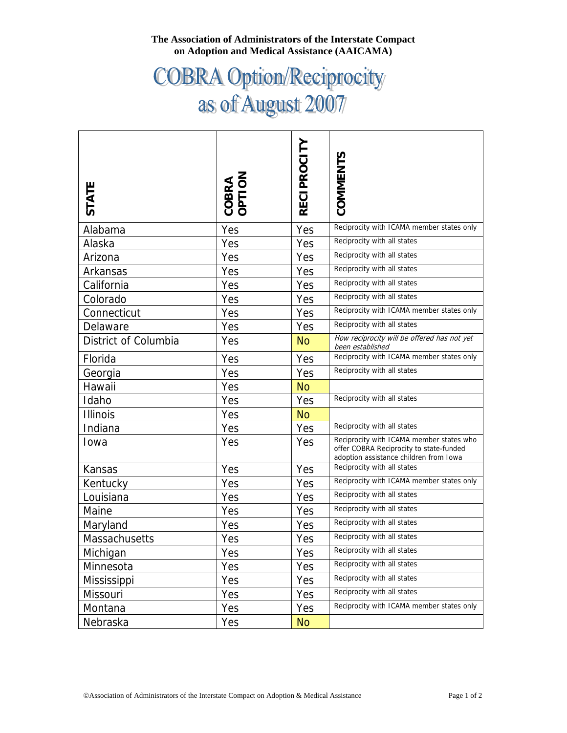#### **The Association of Administrators of the Interstate Compact on Adoption and Medical Assistance (AAICAMA)**

# COBRA Option/Reciprocity<br>as of August 2007

| <b>STATE</b>         | COBRA<br>OPTION | <b>RECIPROCITY</b> | COMMENTS                                                                                                                      |
|----------------------|-----------------|--------------------|-------------------------------------------------------------------------------------------------------------------------------|
| Alabama              | Yes             | Yes                | Reciprocity with ICAMA member states only                                                                                     |
| Alaska               | Yes             | Yes                | Reciprocity with all states                                                                                                   |
| Arizona              | Yes             | Yes                | Reciprocity with all states                                                                                                   |
| Arkansas             | Yes             | Yes                | Reciprocity with all states                                                                                                   |
| California           | Yes             | Yes                | Reciprocity with all states                                                                                                   |
| Colorado             | Yes             | Yes                | Reciprocity with all states                                                                                                   |
| Connecticut          | Yes             | Yes                | Reciprocity with ICAMA member states only                                                                                     |
| Delaware             | Yes             | Yes                | Reciprocity with all states                                                                                                   |
| District of Columbia | Yes             | No.                | How reciprocity will be offered has not yet<br>been established                                                               |
| Florida              | Yes             | Yes                | Reciprocity with ICAMA member states only                                                                                     |
| Georgia              | Yes             | Yes                | Reciprocity with all states                                                                                                   |
| Hawaii               | Yes             | <b>No</b>          |                                                                                                                               |
| Idaho                | Yes             | Yes                | Reciprocity with all states                                                                                                   |
| <b>Illinois</b>      | Yes             | <b>No</b>          |                                                                                                                               |
| Indiana              | Yes             | Yes                | Reciprocity with all states                                                                                                   |
| Iowa                 | Yes             | Yes                | Reciprocity with ICAMA member states who<br>offer COBRA Reciprocity to state-funded<br>adoption assistance children from Iowa |
| Kansas               | Yes             | Yes                | Reciprocity with all states                                                                                                   |
| Kentucky             | Yes             | Yes                | Reciprocity with ICAMA member states only                                                                                     |
| Louisiana            | Yes             | Yes                | Reciprocity with all states                                                                                                   |
| Maine                | Yes             | Yes                | Reciprocity with all states                                                                                                   |
| Maryland             | Yes             | Yes                | Reciprocity with all states                                                                                                   |
| <b>Massachusetts</b> | Yes             | Yes                | Reciprocity with all states                                                                                                   |
| Michigan             | Yes             | Yes                | Reciprocity with all states                                                                                                   |
| Minnesota            | Yes             | Yes                | Reciprocity with all states                                                                                                   |
| Mississippi          | Yes             | Yes                | Reciprocity with all states                                                                                                   |
| Missouri             | Yes             | Yes                | Reciprocity with all states                                                                                                   |
| Montana              | Yes             | Yes                | Reciprocity with ICAMA member states only                                                                                     |
| Nebraska             | Yes             | <b>No</b>          |                                                                                                                               |